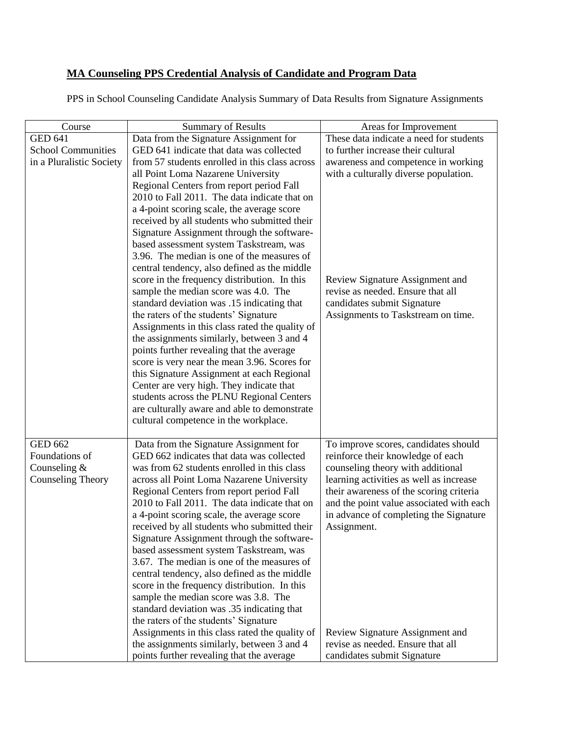## **MA Counseling PPS Credential Analysis of Candidate and Program Data**

PPS in School Counseling Candidate Analysis Summary of Data Results from Signature Assignments

| Course                    | <b>Summary of Results</b>                                                                    | Areas for Improvement                    |
|---------------------------|----------------------------------------------------------------------------------------------|------------------------------------------|
| <b>GED 641</b>            | Data from the Signature Assignment for                                                       | These data indicate a need for students  |
| <b>School Communities</b> | GED 641 indicate that data was collected                                                     | to further increase their cultural       |
| in a Pluralistic Society  | from 57 students enrolled in this class across                                               | awareness and competence in working      |
|                           | all Point Loma Nazarene University                                                           | with a culturally diverse population.    |
|                           | Regional Centers from report period Fall                                                     |                                          |
|                           | 2010 to Fall 2011. The data indicate that on                                                 |                                          |
|                           | a 4-point scoring scale, the average score                                                   |                                          |
|                           | received by all students who submitted their                                                 |                                          |
|                           | Signature Assignment through the software-                                                   |                                          |
|                           | based assessment system Taskstream, was                                                      |                                          |
|                           | 3.96. The median is one of the measures of                                                   |                                          |
|                           | central tendency, also defined as the middle<br>score in the frequency distribution. In this | Review Signature Assignment and          |
|                           | sample the median score was 4.0. The                                                         | revise as needed. Ensure that all        |
|                           | standard deviation was .15 indicating that                                                   | candidates submit Signature              |
|                           | the raters of the students' Signature                                                        | Assignments to Taskstream on time.       |
|                           | Assignments in this class rated the quality of                                               |                                          |
|                           | the assignments similarly, between 3 and 4                                                   |                                          |
|                           | points further revealing that the average                                                    |                                          |
|                           | score is very near the mean 3.96. Scores for                                                 |                                          |
|                           | this Signature Assignment at each Regional                                                   |                                          |
|                           | Center are very high. They indicate that                                                     |                                          |
|                           | students across the PLNU Regional Centers                                                    |                                          |
|                           | are culturally aware and able to demonstrate                                                 |                                          |
|                           | cultural competence in the workplace.                                                        |                                          |
| <b>GED 662</b>            | Data from the Signature Assignment for                                                       | To improve scores, candidates should     |
| Foundations of            | GED 662 indicates that data was collected                                                    | reinforce their knowledge of each        |
| Counseling $&$            | was from 62 students enrolled in this class                                                  | counseling theory with additional        |
| Counseling Theory         | across all Point Loma Nazarene University                                                    | learning activities as well as increase  |
|                           | Regional Centers from report period Fall                                                     | their awareness of the scoring criteria  |
|                           | 2010 to Fall 2011. The data indicate that on                                                 | and the point value associated with each |
|                           | a 4-point scoring scale, the average score                                                   | in advance of completing the Signature   |
|                           | received by all students who submitted their                                                 | Assignment.                              |
|                           | Signature Assignment through the software-                                                   |                                          |
|                           | based assessment system Taskstream, was<br>3.67. The median is one of the measures of        |                                          |
|                           | central tendency, also defined as the middle                                                 |                                          |
|                           | score in the frequency distribution. In this                                                 |                                          |
|                           | sample the median score was 3.8. The                                                         |                                          |
|                           | standard deviation was .35 indicating that                                                   |                                          |
|                           | the raters of the students' Signature                                                        |                                          |
|                           | Assignments in this class rated the quality of                                               | Review Signature Assignment and          |
|                           | the assignments similarly, between 3 and 4                                                   | revise as needed. Ensure that all        |
|                           | points further revealing that the average                                                    | candidates submit Signature              |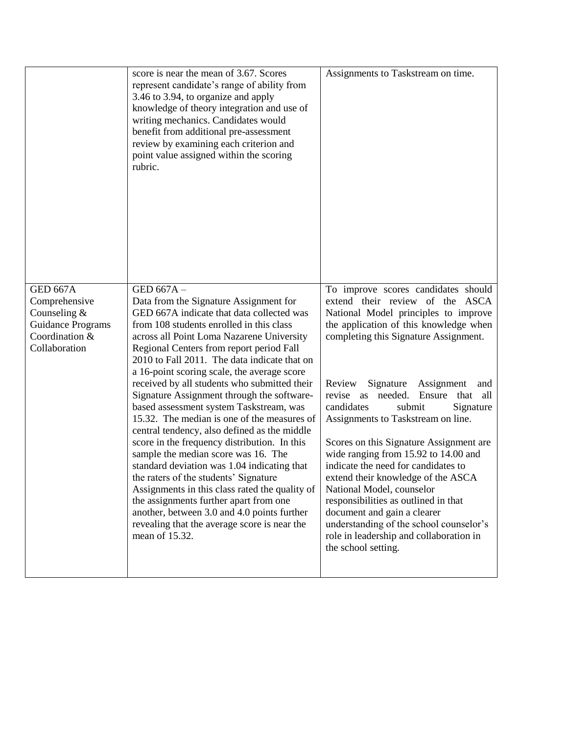|                                                                                                                   | score is near the mean of 3.67. Scores<br>represent candidate's range of ability from<br>3.46 to 3.94, to organize and apply<br>knowledge of theory integration and use of<br>writing mechanics. Candidates would<br>benefit from additional pre-assessment<br>review by examining each criterion and<br>point value assigned within the scoring<br>rubric.                                                                                                                                                                                                                                                                                                                                                                                                                                                                                                                                                                                                              | Assignments to Taskstream on time.                                                                                                                                                                                                                                                                                                                                                                                                                                                                                                                                                                                                                                                                                                                                   |
|-------------------------------------------------------------------------------------------------------------------|--------------------------------------------------------------------------------------------------------------------------------------------------------------------------------------------------------------------------------------------------------------------------------------------------------------------------------------------------------------------------------------------------------------------------------------------------------------------------------------------------------------------------------------------------------------------------------------------------------------------------------------------------------------------------------------------------------------------------------------------------------------------------------------------------------------------------------------------------------------------------------------------------------------------------------------------------------------------------|----------------------------------------------------------------------------------------------------------------------------------------------------------------------------------------------------------------------------------------------------------------------------------------------------------------------------------------------------------------------------------------------------------------------------------------------------------------------------------------------------------------------------------------------------------------------------------------------------------------------------------------------------------------------------------------------------------------------------------------------------------------------|
| <b>GED 667A</b><br>Comprehensive<br>Counseling $&$<br><b>Guidance Programs</b><br>Coordination &<br>Collaboration | GED 667A-<br>Data from the Signature Assignment for<br>GED 667A indicate that data collected was<br>from 108 students enrolled in this class<br>across all Point Loma Nazarene University<br>Regional Centers from report period Fall<br>2010 to Fall 2011. The data indicate that on<br>a 16-point scoring scale, the average score<br>received by all students who submitted their<br>Signature Assignment through the software-<br>based assessment system Taskstream, was<br>15.32. The median is one of the measures of<br>central tendency, also defined as the middle<br>score in the frequency distribution. In this<br>sample the median score was 16. The<br>standard deviation was 1.04 indicating that<br>the raters of the students' Signature<br>Assignments in this class rated the quality of<br>the assignments further apart from one<br>another, between 3.0 and 4.0 points further<br>revealing that the average score is near the<br>mean of 15.32. | To improve scores candidates should<br>extend their review of the<br><b>ASCA</b><br>National Model principles to improve<br>the application of this knowledge when<br>completing this Signature Assignment.<br>Review<br>Signature<br>Assignment<br>and<br>needed.<br>revise as<br>Ensure<br>that<br>all<br>candidates<br>submit<br>Signature<br>Assignments to Taskstream on line.<br>Scores on this Signature Assignment are<br>wide ranging from 15.92 to 14.00 and<br>indicate the need for candidates to<br>extend their knowledge of the ASCA<br>National Model, counselor<br>responsibilities as outlined in that<br>document and gain a clearer<br>understanding of the school counselor's<br>role in leadership and collaboration in<br>the school setting. |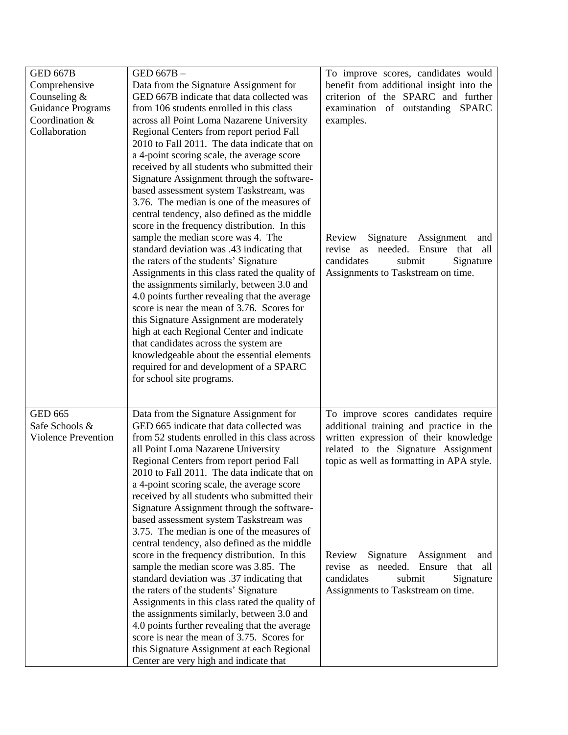| <b>GED 667B</b>            | GED 667B-                                                                                   | To improve scores, candidates would           |  |
|----------------------------|---------------------------------------------------------------------------------------------|-----------------------------------------------|--|
| Comprehensive              | Data from the Signature Assignment for                                                      | benefit from additional insight into the      |  |
| Counseling $&$             | GED 667B indicate that data collected was                                                   | criterion of the SPARC and further            |  |
| <b>Guidance Programs</b>   | from 106 students enrolled in this class                                                    | examination of outstanding SPARC              |  |
| Coordination &             | across all Point Loma Nazarene University                                                   | examples.                                     |  |
| Collaboration              | Regional Centers from report period Fall                                                    |                                               |  |
|                            | 2010 to Fall 2011. The data indicate that on                                                |                                               |  |
|                            | a 4-point scoring scale, the average score                                                  |                                               |  |
|                            | received by all students who submitted their                                                |                                               |  |
|                            | Signature Assignment through the software-                                                  |                                               |  |
|                            | based assessment system Taskstream, was                                                     |                                               |  |
|                            | 3.76. The median is one of the measures of                                                  |                                               |  |
|                            | central tendency, also defined as the middle                                                |                                               |  |
|                            | score in the frequency distribution. In this                                                |                                               |  |
|                            | sample the median score was 4. The                                                          | Signature<br>Review<br>Assignment<br>and      |  |
|                            | standard deviation was .43 indicating that                                                  | revise as needed.<br>Ensure<br>that<br>all    |  |
|                            | the raters of the students' Signature                                                       | candidates<br>submit<br>Signature             |  |
|                            | Assignments in this class rated the quality of                                              | Assignments to Taskstream on time.            |  |
|                            | the assignments similarly, between 3.0 and<br>4.0 points further revealing that the average |                                               |  |
|                            | score is near the mean of 3.76. Scores for                                                  |                                               |  |
|                            | this Signature Assignment are moderately                                                    |                                               |  |
|                            | high at each Regional Center and indicate                                                   |                                               |  |
|                            | that candidates across the system are                                                       |                                               |  |
|                            | knowledgeable about the essential elements                                                  |                                               |  |
|                            | required for and development of a SPARC                                                     |                                               |  |
|                            | for school site programs.                                                                   |                                               |  |
|                            |                                                                                             |                                               |  |
|                            |                                                                                             |                                               |  |
| <b>GED 665</b>             | Data from the Signature Assignment for                                                      | To improve scores candidates require          |  |
| Safe Schools &             | GED 665 indicate that data collected was                                                    | additional training and practice in the       |  |
| <b>Violence Prevention</b> | from 52 students enrolled in this class across                                              | written expression of their knowledge         |  |
|                            | all Point Loma Nazarene University                                                          | related to the Signature Assignment           |  |
|                            | Regional Centers from report period Fall                                                    | topic as well as formatting in APA style.     |  |
|                            | 2010 to Fall 2011. The data indicate that on                                                |                                               |  |
|                            | a 4-point scoring scale, the average score                                                  |                                               |  |
|                            | received by all students who submitted their                                                |                                               |  |
|                            | Signature Assignment through the software-                                                  |                                               |  |
|                            | based assessment system Taskstream was<br>3.75. The median is one of the measures of        |                                               |  |
|                            | central tendency, also defined as the middle                                                |                                               |  |
|                            | score in the frequency distribution. In this                                                | Signature<br>Review<br>Assignment<br>and      |  |
|                            | sample the median score was 3.85. The                                                       | needed.<br>Ensure<br>that<br>all<br>revise as |  |
|                            | standard deviation was .37 indicating that                                                  | candidates<br>submit<br>Signature             |  |
|                            | the raters of the students' Signature                                                       | Assignments to Taskstream on time.            |  |
|                            | Assignments in this class rated the quality of                                              |                                               |  |
|                            | the assignments similarly, between 3.0 and                                                  |                                               |  |
|                            | 4.0 points further revealing that the average                                               |                                               |  |
|                            | score is near the mean of 3.75. Scores for                                                  |                                               |  |
|                            | this Signature Assignment at each Regional                                                  |                                               |  |
|                            | Center are very high and indicate that                                                      |                                               |  |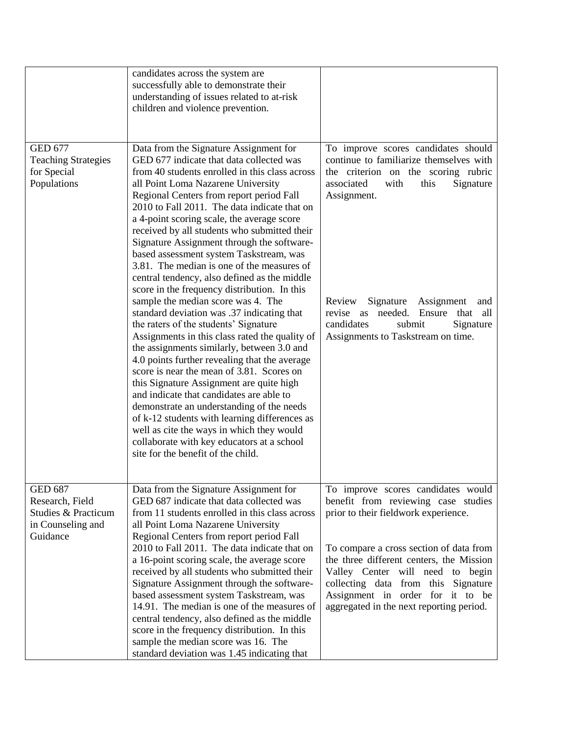|                                                                                           | candidates across the system are<br>successfully able to demonstrate their<br>understanding of issues related to at-risk<br>children and violence prevention.                                                                                                                                                                                                                                                                                                                                                                                                                                                                                                                                                                                                                                                                                                                                                                                                                                                                                                                                                                                                                                                                                                 |                                                                                                                                                                                                                                                                                                                                                                     |
|-------------------------------------------------------------------------------------------|---------------------------------------------------------------------------------------------------------------------------------------------------------------------------------------------------------------------------------------------------------------------------------------------------------------------------------------------------------------------------------------------------------------------------------------------------------------------------------------------------------------------------------------------------------------------------------------------------------------------------------------------------------------------------------------------------------------------------------------------------------------------------------------------------------------------------------------------------------------------------------------------------------------------------------------------------------------------------------------------------------------------------------------------------------------------------------------------------------------------------------------------------------------------------------------------------------------------------------------------------------------|---------------------------------------------------------------------------------------------------------------------------------------------------------------------------------------------------------------------------------------------------------------------------------------------------------------------------------------------------------------------|
| <b>GED 677</b><br><b>Teaching Strategies</b><br>for Special<br>Populations                | Data from the Signature Assignment for<br>GED 677 indicate that data collected was<br>from 40 students enrolled in this class across<br>all Point Loma Nazarene University<br>Regional Centers from report period Fall<br>2010 to Fall 2011. The data indicate that on<br>a 4-point scoring scale, the average score<br>received by all students who submitted their<br>Signature Assignment through the software-<br>based assessment system Taskstream, was<br>3.81. The median is one of the measures of<br>central tendency, also defined as the middle<br>score in the frequency distribution. In this<br>sample the median score was 4. The<br>standard deviation was .37 indicating that<br>the raters of the students' Signature<br>Assignments in this class rated the quality of<br>the assignments similarly, between 3.0 and<br>4.0 points further revealing that the average<br>score is near the mean of 3.81. Scores on<br>this Signature Assignment are quite high<br>and indicate that candidates are able to<br>demonstrate an understanding of the needs<br>of k-12 students with learning differences as<br>well as cite the ways in which they would<br>collaborate with key educators at a school<br>site for the benefit of the child. | To improve scores candidates should<br>continue to familiarize themselves with<br>the criterion on the scoring rubric<br>associated<br>with<br>this<br>Signature<br>Assignment.<br>Review<br>Signature<br>Assignment<br>and<br>needed.<br>Ensure<br>all<br>revise as<br>that<br>candidates<br>submit<br>Signature<br>Assignments to Taskstream on time.             |
| <b>GED 687</b><br>Research, Field<br>Studies & Practicum<br>in Counseling and<br>Guidance | Data from the Signature Assignment for<br>GED 687 indicate that data collected was<br>from 11 students enrolled in this class across<br>all Point Loma Nazarene University<br>Regional Centers from report period Fall<br>2010 to Fall 2011. The data indicate that on<br>a 16-point scoring scale, the average score<br>received by all students who submitted their<br>Signature Assignment through the software-<br>based assessment system Taskstream, was<br>14.91. The median is one of the measures of<br>central tendency, also defined as the middle<br>score in the frequency distribution. In this<br>sample the median score was 16. The<br>standard deviation was 1.45 indicating that                                                                                                                                                                                                                                                                                                                                                                                                                                                                                                                                                           | To improve scores candidates would<br>benefit from reviewing case studies<br>prior to their fieldwork experience.<br>To compare a cross section of data from<br>the three different centers, the Mission<br>Valley Center will need to begin<br>collecting data from this Signature<br>Assignment in order for it to be<br>aggregated in the next reporting period. |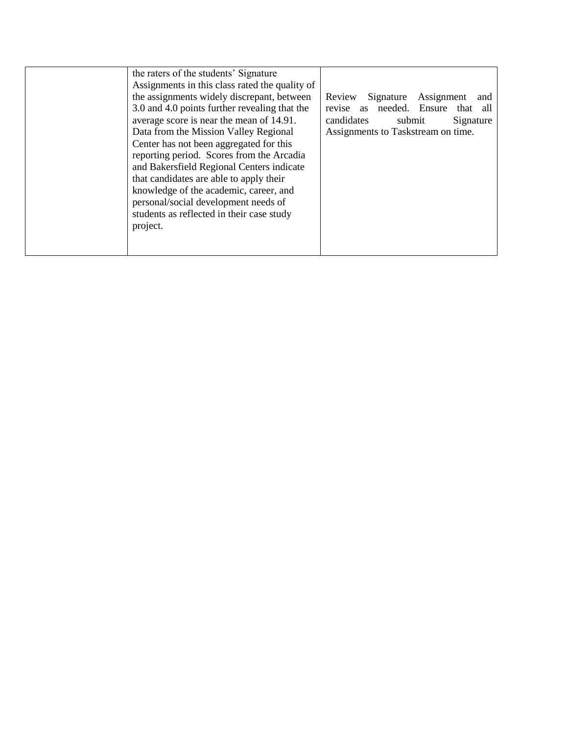| the raters of the students' Signature          |                                            |  |  |
|------------------------------------------------|--------------------------------------------|--|--|
| Assignments in this class rated the quality of |                                            |  |  |
| the assignments widely discrepant, between     | Assignment<br>Signature<br>Review<br>and   |  |  |
| 3.0 and 4.0 points further revealing that the  | needed. Ensure<br>revise<br>that all<br>as |  |  |
| average score is near the mean of 14.91.       | candidates<br>submit<br>Signature          |  |  |
| Data from the Mission Valley Regional          | Assignments to Taskstream on time.         |  |  |
| Center has not been aggregated for this        |                                            |  |  |
| reporting period. Scores from the Arcadia      |                                            |  |  |
| and Bakersfield Regional Centers indicate      |                                            |  |  |
| that candidates are able to apply their        |                                            |  |  |
| knowledge of the academic, career, and         |                                            |  |  |
| personal/social development needs of           |                                            |  |  |
| students as reflected in their case study      |                                            |  |  |
| project.                                       |                                            |  |  |
|                                                |                                            |  |  |
|                                                |                                            |  |  |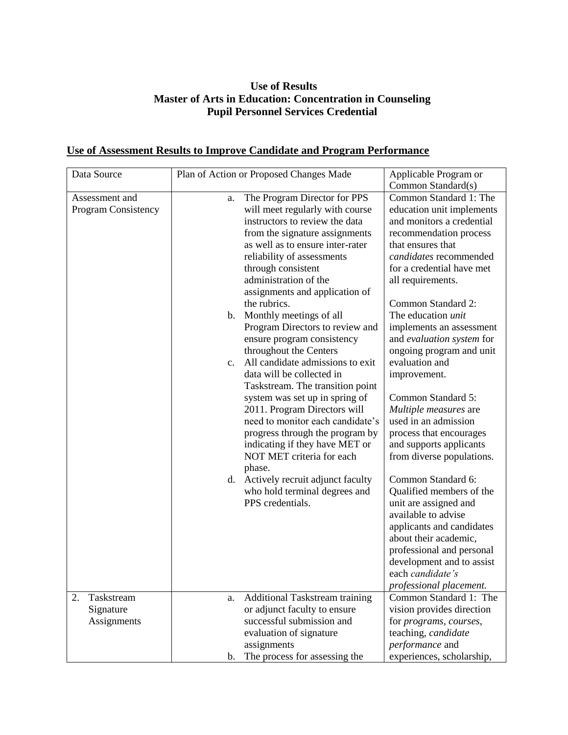## **Use of Results Master of Arts in Education: Concentration in Counseling Pupil Personnel Services Credential**

## **Use of Assessment Results to Improve Candidate and Program Performance**

| Data Source                           | Plan of Action or Proposed Changes Made                                                                                                                                                                                                                                                                                                                                                                                                                                                                                                                                                                                                                                                                                                                                                                                                                                          | Applicable Program or<br>Common Standard(s)                                                                                                                                                                                                                                                                                                                                                                                                                                                                                                                                                                                                                                                                                                                                                                      |
|---------------------------------------|----------------------------------------------------------------------------------------------------------------------------------------------------------------------------------------------------------------------------------------------------------------------------------------------------------------------------------------------------------------------------------------------------------------------------------------------------------------------------------------------------------------------------------------------------------------------------------------------------------------------------------------------------------------------------------------------------------------------------------------------------------------------------------------------------------------------------------------------------------------------------------|------------------------------------------------------------------------------------------------------------------------------------------------------------------------------------------------------------------------------------------------------------------------------------------------------------------------------------------------------------------------------------------------------------------------------------------------------------------------------------------------------------------------------------------------------------------------------------------------------------------------------------------------------------------------------------------------------------------------------------------------------------------------------------------------------------------|
| Assessment and<br>Program Consistency | The Program Director for PPS<br>a.<br>will meet regularly with course<br>instructors to review the data<br>from the signature assignments<br>as well as to ensure inter-rater<br>reliability of assessments<br>through consistent<br>administration of the<br>assignments and application of<br>the rubrics.<br>Monthly meetings of all<br>b.<br>Program Directors to review and<br>ensure program consistency<br>throughout the Centers<br>All candidate admissions to exit<br>C <sub>1</sub><br>data will be collected in<br>Taskstream. The transition point<br>system was set up in spring of<br>2011. Program Directors will<br>need to monitor each candidate's<br>progress through the program by<br>indicating if they have MET or<br>NOT MET criteria for each<br>phase.<br>Actively recruit adjunct faculty<br>d.<br>who hold terminal degrees and<br>PPS credentials. | Common Standard 1: The<br>education unit implements<br>and monitors a credential<br>recommendation process<br>that ensures that<br>candidates recommended<br>for a credential have met<br>all requirements.<br>Common Standard 2:<br>The education <i>unit</i><br>implements an assessment<br>and evaluation system for<br>ongoing program and unit<br>evaluation and<br>improvement.<br>Common Standard 5:<br>Multiple measures are<br>used in an admission<br>process that encourages<br>and supports applicants<br>from diverse populations.<br>Common Standard 6:<br>Qualified members of the<br>unit are assigned and<br>available to advise<br>applicants and candidates<br>about their academic,<br>professional and personal<br>development and to assist<br>each candidate's<br>professional placement. |
| 2.<br>Taskstream<br>Signature         | Additional Taskstream training<br>a.<br>or adjunct faculty to ensure                                                                                                                                                                                                                                                                                                                                                                                                                                                                                                                                                                                                                                                                                                                                                                                                             | Common Standard 1: The<br>vision provides direction                                                                                                                                                                                                                                                                                                                                                                                                                                                                                                                                                                                                                                                                                                                                                              |
| Assignments                           | successful submission and<br>evaluation of signature<br>assignments                                                                                                                                                                                                                                                                                                                                                                                                                                                                                                                                                                                                                                                                                                                                                                                                              | for programs, courses,<br>teaching, candidate<br>performance and                                                                                                                                                                                                                                                                                                                                                                                                                                                                                                                                                                                                                                                                                                                                                 |
|                                       | The process for assessing the<br>b.                                                                                                                                                                                                                                                                                                                                                                                                                                                                                                                                                                                                                                                                                                                                                                                                                                              | experiences, scholarship,                                                                                                                                                                                                                                                                                                                                                                                                                                                                                                                                                                                                                                                                                                                                                                                        |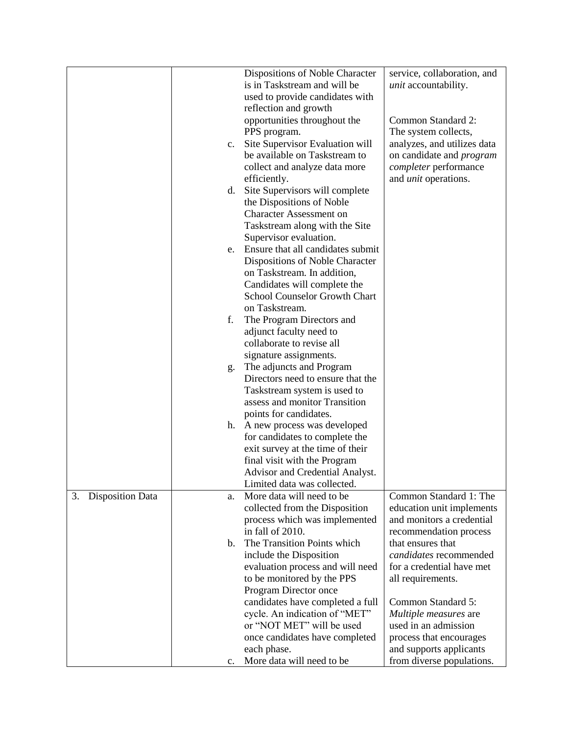|                               |    | Dispositions of Noble Character   | service, collaboration, and     |
|-------------------------------|----|-----------------------------------|---------------------------------|
|                               |    | is in Taskstream and will be      | <i>unit</i> accountability.     |
|                               |    | used to provide candidates with   |                                 |
|                               |    | reflection and growth             |                                 |
|                               |    | opportunities throughout the      | Common Standard 2:              |
|                               |    | PPS program.                      | The system collects,            |
|                               | c. | Site Supervisor Evaluation will   | analyzes, and utilizes data     |
|                               |    | be available on Taskstream to     | on candidate and <i>program</i> |
|                               |    | collect and analyze data more     | completer performance           |
|                               |    | efficiently.                      | and <i>unit</i> operations.     |
|                               | d. | Site Supervisors will complete    |                                 |
|                               |    | the Dispositions of Noble         |                                 |
|                               |    | <b>Character Assessment on</b>    |                                 |
|                               |    |                                   |                                 |
|                               |    | Taskstream along with the Site    |                                 |
|                               |    | Supervisor evaluation.            |                                 |
|                               | e. | Ensure that all candidates submit |                                 |
|                               |    | Dispositions of Noble Character   |                                 |
|                               |    | on Taskstream. In addition,       |                                 |
|                               |    | Candidates will complete the      |                                 |
|                               |    | School Counselor Growth Chart     |                                 |
|                               |    | on Taskstream.                    |                                 |
|                               | f. | The Program Directors and         |                                 |
|                               |    | adjunct faculty need to           |                                 |
|                               |    | collaborate to revise all         |                                 |
|                               |    | signature assignments.            |                                 |
|                               | g. | The adjuncts and Program          |                                 |
|                               |    | Directors need to ensure that the |                                 |
|                               |    | Taskstream system is used to      |                                 |
|                               |    | assess and monitor Transition     |                                 |
|                               |    | points for candidates.            |                                 |
|                               | h. | A new process was developed       |                                 |
|                               |    | for candidates to complete the    |                                 |
|                               |    | exit survey at the time of their  |                                 |
|                               |    | final visit with the Program      |                                 |
|                               |    | Advisor and Credential Analyst.   |                                 |
|                               |    | Limited data was collected.       |                                 |
| 3.<br><b>Disposition Data</b> | a. | More data will need to be         | Common Standard 1: The          |
|                               |    | collected from the Disposition    | education unit implements       |
|                               |    | process which was implemented     | and monitors a credential       |
|                               |    | in fall of 2010.                  | recommendation process          |
|                               | b. | The Transition Points which       | that ensures that               |
|                               |    | include the Disposition           | candidates recommended          |
|                               |    | evaluation process and will need  | for a credential have met       |
|                               |    | to be monitored by the PPS        | all requirements.               |
|                               |    | Program Director once             |                                 |
|                               |    | candidates have completed a full  | Common Standard 5:              |
|                               |    | cycle. An indication of "MET"     | Multiple measures are           |
|                               |    | or "NOT MET" will be used         | used in an admission            |
|                               |    | once candidates have completed    | process that encourages         |
|                               |    | each phase.                       | and supports applicants         |
|                               | c. | More data will need to be         | from diverse populations.       |